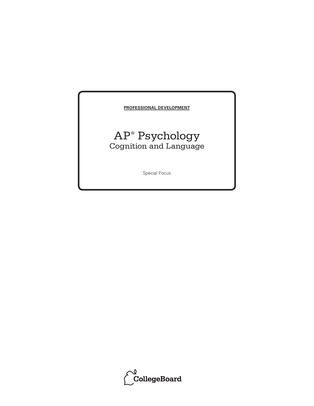#### **PROFESSIONAL DEVELOPMENT**

## AP® Psychology Cognition and Language

Special Focus

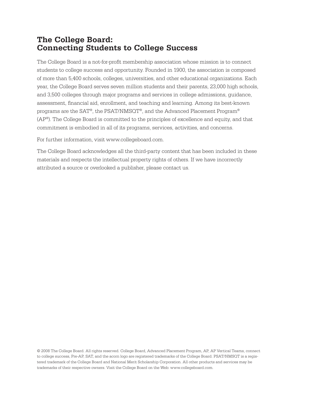## **The College Board: Connecting Students to College Success**

The College Board is a not-for-profit membership association whose mission is to connect students to college success and opportunity. Founded in 1900, the association is composed of more than 5,400 schools, colleges, universities, and other educational organizations. Each year, the College Board serves seven million students and their parents, 23,000 high schools, and 3,500 colleges through major programs and services in college admissions, guidance, assessment, financial aid, enrollment, and teaching and learning. Among its best-known programs are the SAT®, the PSAT/NMSQT®, and the Advanced Placement Program® (AP®). The College Board is committed to the principles of excellence and equity, and that commitment is embodied in all of its programs, services, activities, and concerns.

For further information, visit www.collegeboard.com.

The College Board acknowledges all the third-party content that has been included in these materials and respects the intellectual property rights of others. If we have incorrectly attributed a source or overlooked a publisher, please contact us.

© 2008 The College Board. All rights reserved. College Board, Advanced Placement Program, AP, AP Vertical Teams, connect to college success, Pre-AP, SAT, and the acorn logo are registered trademarks of the College Board. PSAT/NMSQT is a registered trademark of the College Board and National Merit Scholarship Corporation. All other products and services may be trademarks of their respective owners. Visit the College Board on the Web: www.collegeboard.com.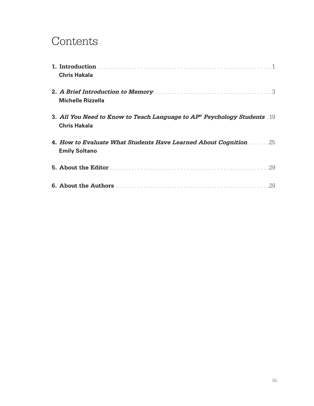## Contents

| <b>Chris Hakala</b>                                                                                     |
|---------------------------------------------------------------------------------------------------------|
| <b>Michelle Rizzella</b>                                                                                |
| 3. All You Need to Know to Teach Language to $AP^{\circ}$ Psychology Students 19<br><b>Chris Hakala</b> |
| 4. How to Evaluate What Students Have Learned About Cognition 2008.<br><b>Emily Soltano</b>             |
|                                                                                                         |
|                                                                                                         |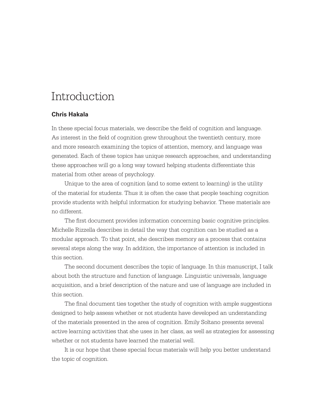## Introduction

#### **Chris Hakala**

In these special focus materials, we describe the field of cognition and language. As interest in the field of cognition grew throughout the twentieth century, more and more research examining the topics of attention, memory, and language was generated. Each of these topics has unique research approaches, and understanding these approaches will go a long way toward helping students differentiate this material from other areas of psychology.

Unique to the area of cognition (and to some extent to learning) is the utility of the material for students. Thus it is often the case that people teaching cognition provide students with helpful information for studying behavior. These materials are no different.

The first document provides information concerning basic cognitive principles. Michelle Rizzella describes in detail the way that cognition can be studied as a modular approach. To that point, she describes memory as a process that contains several steps along the way. In addition, the importance of attention is included in this section.

The second document describes the topic of language. In this manuscript, I talk about both the structure and function of language. Linguistic universals, language acquisition, and a brief description of the nature and use of language are included in this section.

The final document ties together the study of cognition with ample suggestions designed to help assess whether or not students have developed an understanding of the materials presented in the area of cognition. Emily Soltano presents several active learning activities that she uses in her class, as well as strategies for assessing whether or not students have learned the material well.

It is our hope that these special focus materials will help you better understand the topic of cognition.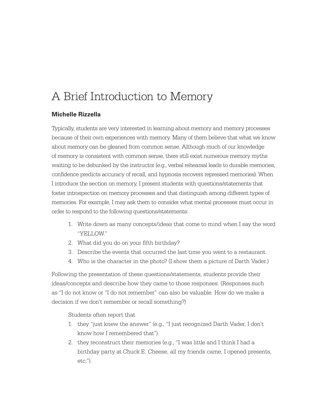# A Brief Introduction to Memory

#### **Michelle Rizzella**

Typically, students are very interested in learning about memory and memory processes because of their own experiences with memory. Many of them believe that what we know about memory can be gleaned from common sense. Although much of our knowledge of memory is consistent with common sense, there still exist numerous memory myths waiting to be debunked by the instructor (e.g., verbal rehearsal leads to durable memories, confidence predicts accuracy of recall, and hypnosis recovers repressed memories). When I introduce the section on memory, I present students with questions/statements that foster introspection on memory processes and that distinguish among different types of memories. For example, I may ask them to consider what mental processes must occur in order to respond to the following questions/statements:

- 1. Write down as many concepts/ideas that come to mind when I say the word "YELLOW."
- 2. What did you do on your fifth birthday?
- 3. Describe the events that occurred the last time you went to a restaurant.
- 4. Who is the character in the photo? (I show them a picture of Darth Vader.)

Following the presentation of these questions/statements, students provide their ideas/concepts and describe how they came to those responses. (Responses such as "I do not know or "I do not remember" can also be valuable. How do we make a decision if we don't remember or recall something?)

Students often report that

- 1. they "just knew the answer" (e.g., "I just recognized Darth Vader, I don't know how I remembered that").
- 2. they reconstruct their memories (e.g., "I was little and I think I had a birthday party at Chuck E. Cheese, all my friends came, I opened presents, etc.").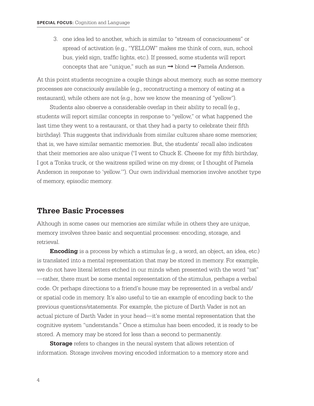3. one idea led to another, which is similar to "stream of consciousness" or spread of activation (e.g., "YELLOW" makes me think of corn, sun, school bus, yield sign, traffic lights, etc.). If pressed, some students will report concepts that are "unique," such as sun  $\rightarrow$  blond  $\rightarrow$  Pamela Anderson.

At this point students recognize a couple things about memory, such as some memory processes are consciously available (e.g., reconstructing a memory of eating at a restaurant), while others are not (e.g., how we know the meaning of "yellow").

Students also observe a considerable overlap in their ability to recall (e.g., students will report similar concepts in response to "yellow," or what happened the last time they went to a restaurant, or that they had a party to celebrate their fifth birthday). This suggests that individuals from similar cultures share some memories; that is, we have similar semantic memories. But, the students' recall also indicates that their memories are also unique ("I went to Chuck E. Cheese for my fifth birthday, I got a Tonka truck, or the waitress spilled wine on my dress; or I thought of Pamela Anderson in response to 'yellow.'"). Our own individual memories involve another type of memory, episodic memory.

### **Three Basic Processes**

Although in some cases our memories are similar while in others they are unique, memory involves three basic and sequential processes: encoding, storage, and retrieval.

**Encoding** is a process by which a stimulus (e.g., a word, an object, an idea, etc.) is translated into a mental representation that may be stored in memory. For example, we do not have literal letters etched in our minds when presented with the word "rat" —rather, there must be some mental representation of the stimulus, perhaps a verbal code. Or perhaps directions to a friend's house may be represented in a verbal and/ or spatial code in memory. It's also useful to tie an example of encoding back to the previous questions/statements. For example, the picture of Darth Vader is not an actual picture of Darth Vader in your head—it's some mental representation that the cognitive system "understands." Once a stimulus has been encoded, it is ready to be stored. A memory may be stored for less than a second to permanently.

**Storage** refers to changes in the neural system that allows retention of information. Storage involves moving encoded information to a memory store and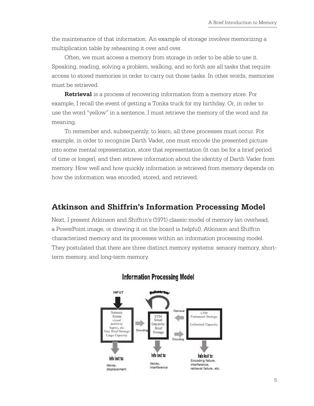the maintenance of that information. An example of storage involves memorizing a multiplication table by rehearsing it over and over.

Often, we must access a memory from storage in order to be able to use it. Speaking, reading, solving a problem, walking, and so forth are all tasks that require access to stored memories in order to carry out those tasks. In other words, memories must be retrieved.

**Retrieval** is a process of recovering information from a memory store. For example, I recall the event of getting a Tonka truck for my birthday. Or, in order to use the word "yellow" in a sentence, I must retrieve the memory of the word and its meaning.

To remember and, subsequently, to learn, all three processes must occur. For example, in order to recognize Darth Vader, one must encode the presented picture into some mental representation, store that representation (it can be for a brief period of time or longer), and then retrieve information about the identity of Darth Vader from memory. How well and how quickly information is retrieved from memory depends on how the information was encoded, stored, and retrieved.

## **Atkinson and Shiffrin's Information Processing Model**

Next, I present Atkinson and Shiffrin's (1971) classic model of memory (an overhead, a PowerPoint image, or drawing it on the board is helpful). Atkinson and Shiffrin characterized memory and its processes within an information processing model. They postulated that there are three distinct memory systems: sensory memory, shortterm memory, and long-term memory.



### **Information Processing Model**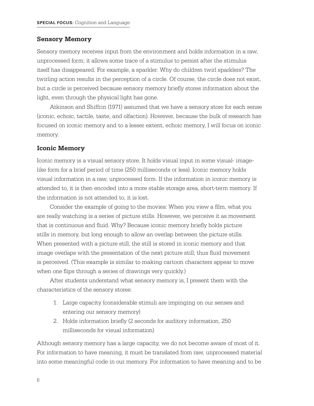#### **Sensory Memory**

Sensory memory receives input from the environment and holds information in a raw, unprocessed form; it allows some trace of a stimulus to persist after the stimulus itself has disappeared. For example, a sparkler: Why do children twirl sparklers? The twirling action results in the perception of a circle. Of course, the circle does not exist, but a circle is perceived because sensory memory briefly stores information about the light, even through the physical light has gone.

Atkinson and Shiffrin (1971) assumed that we have a sensory store for each sense (iconic, echoic, tactile, taste, and olfaction). However, because the bulk of research has focused on iconic memory and to a lesser extent, echoic memory, I will focus on iconic memory.

#### **Iconic Memory**

Iconic memory is a visual sensory store. It holds visual input in some visual- imagelike form for a brief period of time (250 milliseconds or less). Iconic memory holds visual information in a raw, unprocessed form. If the information in iconic memory is attended to, it is then encoded into a more stable storage area, short-term memory. If the information is not attended to, it is lost.

Consider the example of going to the movies: When you view a film, what you are really watching is a series of picture stills. However, we perceive it as movement that is continuous and fluid. Why? Because iconic memory briefly holds picture stills in memory, but long enough to allow an overlap between the picture stills. When presented with a picture still, the still is stored in iconic memory and that image overlaps with the presentation of the next picture still; thus fluid movement is perceived. (This example is similar to making cartoon characters appear to move when one flips through a series of drawings very quickly.)

After students understand what sensory memory is, I present them with the characteristics of the sensory stores:

- 1. Large capacity (considerable stimuli are impinging on our senses and entering our sensory memory)
- 2. Holds information briefly (2 seconds for auditory information, 250 milliseconds for visual information)

Although sensory memory has a large capacity, we do not become aware of most of it. For information to have meaning, it must be translated from raw, unprocessed material into some meaningful code in our memory. For information to have meaning and to be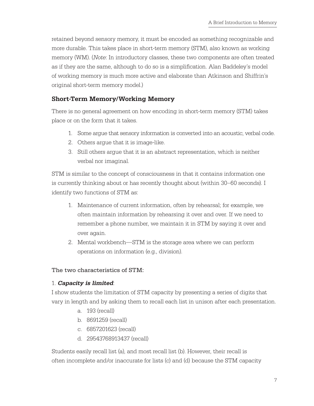retained beyond sensory memory, it must be encoded as something recognizable and more durable. This takes place in short-term memory (STM), also known as working memory (WM). (*Note*: In introductory classes, these two components are often treated as if they are the same, although to do so is a simplification. Alan Baddeley's model of working memory is much more active and elaborate than Atkinson and Shiffrin's original short-term memory model.)

#### **Short-Term Memory/Working Memory**

There is no general agreement on how encoding in short-term memory (STM) takes place or on the form that it takes.

- 1. Some argue that sensory information is converted into an acoustic, verbal code.
- 2. Others argue that it is image-like.
- 3. Still others argue that it is an abstract representation, which is neither verbal nor imaginal.

STM is similar to the concept of consciousness in that it contains information one is currently thinking about or has recently thought about (within 30–60 seconds). I identify two functions of STM as:

- 1. Maintenance of current information, often by rehearsal; for example, we often maintain information by rehearsing it over and over. If we need to remember a phone number, we maintain it in STM by saying it over and over again.
- 2. Mental workbench—STM is the storage area where we can perform operations on information (e.g., division).

#### The two characteristics of STM:

#### 1. **Capacity is limited**:

I show students the limitation of STM capacity by presenting a series of digits that vary in length and by asking them to recall each list in unison after each presentation.

- a. 193 (recall)
- b. 8691259 (recall)
- c. 6857201623 (recall)
- d. 29543768913437 (recall)

Students easily recall list (a), and most recall list (b). However, their recall is often incomplete and/or inaccurate for lists (c) and (d) because the STM capacity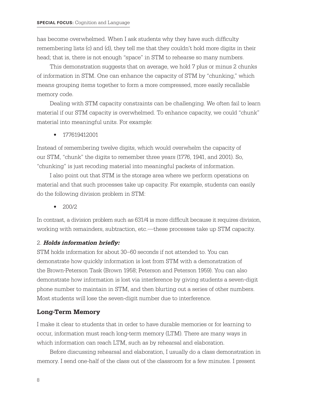has become overwhelmed. When I ask students why they have such difficulty remembering lists (c) and (d), they tell me that they couldn't hold more digits in their head; that is, there is not enough "space" in STM to rehearse so many numbers.

This demonstration suggests that on average, we hold 7 plus or minus 2 chunks of information in STM. One can enhance the capacity of STM by "chunking," which means grouping items together to form a more compressed, more easily recallable memory code.

Dealing with STM capacity constraints can be challenging. We often fail to learn material if our STM capacity is overwhelmed. To enhance capacity, we could "chunk" material into meaningful units. For example:

• 177619412001

Instead of remembering twelve digits, which would overwhelm the capacity of our STM, "chunk" the digits to remember three years (1776, 1941, and 2001). So, "chunking" is just recoding material into meaningful packets of information.

I also point out that STM is the storage area where we perform operations on material and that such processes take up capacity. For example, students can easily do the following division problem in STM:

 $\bullet$  200/2

In contrast, a division problem such as 631/4 is more difficult because it requires division, working with remainders, subtraction, etc.—these processes take up STM capacity.

#### 2. **Holds information briefly:**

STM holds information for about 30–60 seconds if not attended to. You can demonstrate how quickly information is lost from STM with a demonstration of the Brown-Peterson Task (Brown 1958; Peterson and Peterson 1959). You can also demonstrate how information is lost via interference by giving students a seven-digit phone number to maintain in STM, and then blurting out a series of other numbers. Most students will lose the seven-digit number due to interference.

#### **Long-Term Memory**

I make it clear to students that in order to have durable memories or for learning to occur, information must reach long-term memory (LTM). There are many ways in which information can reach LTM, such as by rehearsal and elaboration.

Before discussing rehearsal and elaboration, I usually do a class demonstration in memory. I send one-half of the class out of the classroom for a few minutes. I present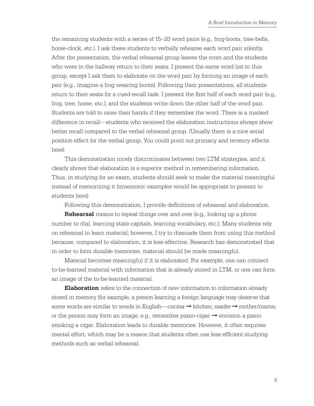the remaining students with a series of 15–20 word pairs (e.g., frog-boots, tree-bells, horse-clock, etc.). I ask these students to verbally rehearse each word pair silently. After the presentation, the verbal rehearsal group leaves the room and the students who were in the hallway return to their seats. I present the same word list to this group, except I ask them to elaborate on the word pair by forming an image of each pair (e.g., imagine a frog wearing boots). Following their presentations, all students return to their seats for a cued-recall task. I present the first half of each word pair (e.g., frog, tree, horse, etc.), and the students write down the other half of the word pair. Students are told to raise their hands if they remember the word. There is a marked difference in recall—students who received the elaboration instructions always show better recall compared to the verbal rehearsal group. (Usually there is a nice serial position effect for the verbal group. You could point out primacy and recency effects here).

This demonstration nicely discriminates between two LTM strategies, and it clearly shows that elaboration is a superior method in remembering information. Thus, in studying for an exam, students should seek to make the material meaningful instead of memorizing it (mnemonic examples would be appropriate to present to students here).

Following this demonstration, I provide definitions of rehearsal and elaboration.

**Rehearsal** means to repeat things over and over (e.g., looking up a phone number to dial, learning state capitals, learning vocabulary, etc.). Many students rely on rehearsal to learn material; however, I try to dissuade them from using this method because, compared to elaboration, it is less effective. Research has demonstrated that in order to form durable memories, material should be made meaningful.

Material becomes meaningful if it is elaborated. For example, one can connect to-be-learned material with information that is already stored in LTM, or one can form an image of the to-be-learned material.

**Elaboration** refers to the connection of new information to information already stored in memory (for example, a person learning a foreign language may observe that some words are similar to words in English—*cucina* ➞ kitchen; *madre* ➞ mother/mama; or the person may form an image, e.g., remember piano-cigar  $\rightarrow$  envision a piano smoking a cigar. Elaboration leads to durable memories. However, it often requires mental effort, which may be a reason that students often use less efficient studying methods such as verbal rehearsal.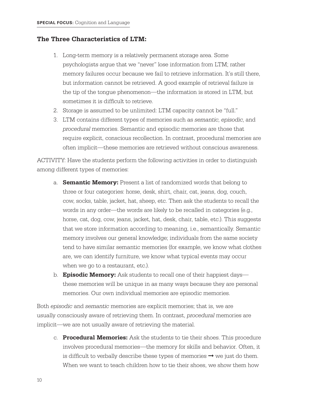#### **The Three Characteristics of LTM:**

- 1. Long-term memory is a relatively permanent storage area. Some psychologists argue that we "never" lose information from LTM; rather memory failures occur because we fail to retrieve information. It's still there, but information cannot be retrieved. A good example of retrieval failure is the tip of the tongue phenomenon—the information is stored in LTM, but sometimes it is difficult to retrieve.
- 2. Storage is assumed to be unlimited: LTM capacity cannot be "full."
- 3. LTM contains different types of memories such as *semantic*, *episodic*, and *procedural* memories. Semantic and episodic memories are those that require explicit, conscious recollection. In contrast, procedural memories are often implicit—these memories are retrieved without conscious awareness.

ACTIVITY: Have the students perform the following activities in order to distinguish among different types of memories:

- a. **Semantic Memory:** Present a list of randomized words that belong to three or four categories: horse, desk, shirt, chair, cat, jeans, dog, couch, cow, socks, table, jacket, hat, sheep, etc. Then ask the students to recall the words in any order—the words are likely to be recalled in categories (e.g., horse, cat, dog, cow, jeans, jacket, hat, desk, chair, table, etc.). This suggests that we store information according to meaning, i.e., semantically. Semantic memory involves our general knowledge; individuals from the same society tend to have similar semantic memories (for example, we know what clothes are, we can identify furniture, we know what typical events may occur when we go to a restaurant, etc.).
- b. **Episodic Memory:** Ask students to recall one of their happiest days these memories will be unique in as many ways because they are personal memories. Our own individual memories are episodic memories.

Both *episodic* and *semantic* memories are explicit memories; that is, we are usually consciously aware of retrieving them. In contrast, *procedural* memories are implicit—we are not usually aware of retrieving the material.

c. **Procedural Memories:** Ask the students to tie their shoes. This procedure involves procedural memories—the memory for skills and behavior. Often, it is difficult to verbally describe these types of memories  $\rightarrow$  we just do them. When we want to teach children how to tie their shoes, we show them how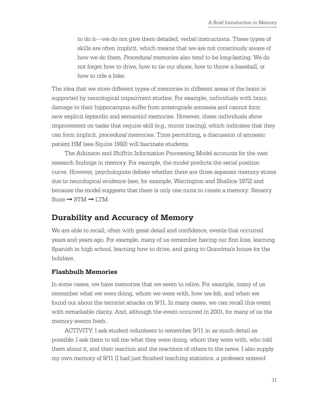to do it—we do not give them detailed, verbal instructions. These types of skills are often implicit, which means that we are not consciously aware of how we do them. *Procedural* memories also tend to be long-lasting. We do not forget how to drive, how to tie our shoes, how to throw a baseball, or how to ride a bike.

The idea that we store different types of memories in different areas of the brain is supported by neurological impairment studies. For example, individuals with brain damage to their hippocampus suffer from anterograde amnesia and cannot form new explicit (episodic and semantic) memories. However, these individuals show improvement on tasks that require skill (e.g., mirror tracing), which indicates that they can form implicit, *procedural* memories. Time permitting*,* a discussion of amnesic patient HM (see Squire 1992) will fascinate students.

The Atkinson and Shiffrin Information Processing Model accounts for the vast research findings in memory. For example, the model predicts the serial position curve. However, psychologists debate whether there are three separate memory stores due to neurological evidence (see, for example, Warrington and Shallice 1972) and because the model suggests that there is only one route to create a memory: Sensory Store  $\rightarrow$  STM  $\rightarrow$  LTM.

### **Durability and Accuracy of Memory**

We are able to recall, often with great detail and confidence, events that occurred years and years ago. For example, many of us remember having our first kiss, learning Spanish in high school, learning how to drive, and going to Grandma's house for the holidays.

#### **Flashbulb Memories**

In some cases, we have memories that we seem to relive. For example, many of us remember what we were doing, whom we were with, how we felt, and when we found out about the terrorist attacks on 9/11. In many cases, we can recall this event with remarkable clarity. And, although the event occurred in 2001, for many of us the memory seems fresh.

ACTIVITY: I ask student volunteers to remember 9/11 in as much detail as possible: I ask them to tell me what they were doing, whom they were with, who told them about it, and their reaction and the reactions of others to the news. I also supply my own memory of 9/11 (I had just finished teaching statistics, a professor entered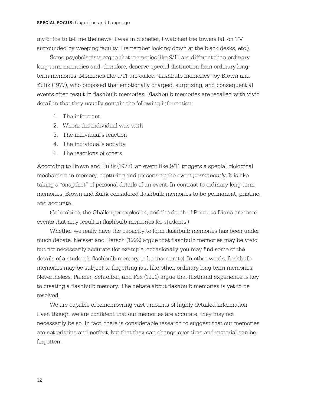my office to tell me the news, I was in disbelief, I watched the towers fall on TV surrounded by weeping faculty, I remember looking down at the black desks, etc.).

Some psychologists argue that memories like 9/11 are different than ordinary long-term memories and, therefore, deserve special distinction from ordinary longterm memories. Memories like 9/11 are called "flashbulb memories" by Brown and Kulik (1977), who proposed that emotionally charged, surprising, and consequential events often result in flashbulb memories. Flashbulb memories are recalled with vivid detail in that they usually contain the following information:

- 1. The informant
- 2. Whom the individual was with
- 3. The individual's reaction
- 4. The individual's activity
- 5. The reactions of others

According to Brown and Kulik (1977), an event like 9/11 triggers a special biological mechanism in memory, capturing and preserving the event *permanently.* It is like taking a "snapshot" of personal details of an event. In contrast to ordinary long-term memories, Brown and Kulik considered flashbulb memories to be permanent, pristine, and accurate.

(Columbine, the Challenger explosion, and the death of Princess Diana are more events that may result in flashbulb memories for students.)

Whether we really have the capacity to form flashbulb memories has been under much debate. Neisser and Harsch (1992) argue that flashbulb memories may be vivid but not necessarily accurate (for example, occasionally you may find some of the details of a student's flashbulb memory to be inaccurate). In other words, flashbulb memories may be subject to forgetting just like other, ordinary long-term memories. Nevertheless, Palmer, Schreiber, and Fox (1991) argue that firsthand experience is key to creating a flashbulb memory. The debate about flashbulb memories is yet to be resolved.

We are capable of remembering vast amounts of highly detailed information. Even though we are confident that our memories are accurate, they may not necessarily be so. In fact, there is considerable research to suggest that our memories are not pristine and perfect, but that they can change over time and material can be forgotten.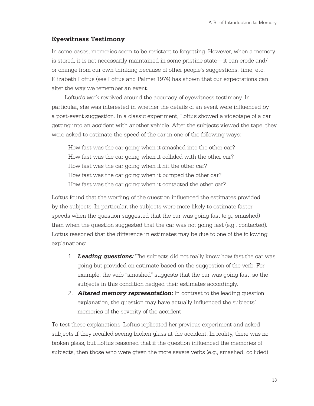#### **Eyewitness Testimony**

In some cases, memories seem to be resistant to forgetting. However, when a memory is stored, it is not necessarily maintained in some pristine state—it can erode and/ or change from our own thinking because of other people's suggestions, time, etc. Elizabeth Loftus (see Loftus and Palmer 1974) has shown that our expectations can alter the way we remember an event.

Loftus's work revolved around the accuracy of eyewitness testimony. In particular, she was interested in whether the details of an event were influenced by a post-event suggestion. In a classic experiment, Loftus showed a videotape of a car getting into an accident with another vehicle. After the subjects viewed the tape, they were asked to estimate the speed of the car in one of the following ways:

How fast was the car going when it smashed into the other car? How fast was the car going when it collided with the other car? How fast was the car going when it hit the other car? How fast was the car going when it bumped the other car? How fast was the car going when it contacted the other car?

Loftus found that the wording of the question influenced the estimates provided by the subjects. In particular, the subjects were more likely to estimate faster speeds when the question suggested that the car was going fast (e.g., smashed) than when the question suggested that the car was not going fast (e.g., contacted). Loftus reasoned that the difference in estimates may be due to one of the following explanations:

- 1. **Leading questions:** The subjects did not really know how fast the car was going but provided on estimate based on the suggestion of the verb. For example, the verb "smashed" suggests that the car was going fast, so the subjects in this condition hedged their estimates accordingly.
- 2. **Altered memory representation:** In contrast to the leading question explanation, the question may have actually influenced the subjects' memories of the severity of the accident.

To test these explanations, Loftus replicated her previous experiment and asked subjects if they recalled seeing broken glass at the accident. In reality, there was no broken glass, but Loftus reasoned that if the question influenced the memories of subjects, then those who were given the more severe verbs (e.g., smashed, collided)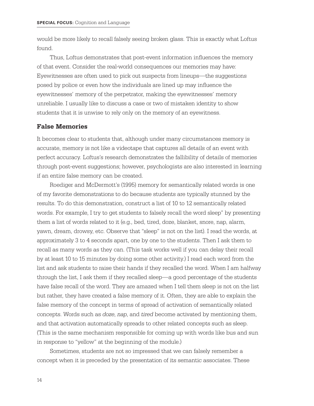would be more likely to recall falsely seeing broken glass. This is exactly what Loftus found.

Thus, Loftus demonstrates that post-event information influences the memory of that event. Consider the real-world consequences our memories may have: Eyewitnesses are often used to pick out suspects from lineups—the suggestions posed by police or even how the individuals are lined up may influence the eyewitnesses' memory of the perpetrator, making the eyewitnesses' memory unreliable. I usually like to discuss a case or two of mistaken identity to show students that it is unwise to rely only on the memory of an eyewitness.

#### **False Memories**

It becomes clear to students that, although under many circumstances memory is accurate, memory is not like a videotape that captures all details of an event with perfect accuracy. Loftus's research demonstrates the fallibility of details of memories through post-event suggestions; however, psychologists are also interested in learning if an entire false memory can be created.

Roediger and McDermott's (1995) memory for semantically related words is one of my favorite demonstrations to do because students are typically stunned by the results. To do this demonstration, construct a list of 10 to 12 semantically related words. For example, I try to get students to falsely recall the word sleep" by presenting them a list of words related to it (e.g., bed, tired, doze, blanket, snore, nap, alarm, yawn, dream, drowsy, etc. Observe that "sleep" is not on the list). I read the words, at approximately 3 to 4 seconds apart, one by one to the students. Then I ask them to recall as many words as they can. (This task works well if you can delay their recall by at least 10 to 15 minutes by doing some other activity.) I read each word from the list and ask students to raise their hands if they recalled the word. When I am halfway through the list, I ask them if they recalled sleep—a good percentage of the students have false recall of the word. They are amazed when I tell them sleep is not on the list but rather, they have created a false memory of it. Often, they are able to explain the false memory of the concept in terms of spread of activation of semantically related concepts. Words such as *doze*, *nap*, and *tired* become activated by mentioning them, and that activation automatically spreads to other related concepts such as sleep. (This is the same mechanism responsible for coming up with words like bus and sun in response to "yellow" at the beginning of the module.)

Sometimes, students are not so impressed that we can falsely remember a concept when it is preceded by the presentation of its semantic associates. These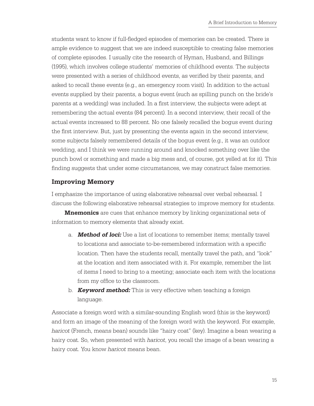students want to know if full-fledged episodes of memories can be created. There is ample evidence to suggest that we are indeed susceptible to creating false memories of complete episodes. I usually cite the research of Hyman, Husband, and Billings (1995), which involves college students' memories of childhood events. The subjects were presented with a series of childhood events, as verified by their parents, and asked to recall these events (e.g., an emergency room visit). In addition to the actual events supplied by their parents, a bogus event (such as spilling punch on the bride's parents at a wedding) was included. In a first interview, the subjects were adept at remembering the actual events (84 percent). In a second interview, their recall of the actual events increased to 88 percent. No one falsely recalled the bogus event during the first interview. But, just by presenting the events again in the second interview, some subjects falsely remembered details of the bogus event (e.g., it was an outdoor wedding, and I think we were running around and knocked something over like the punch bowl or something and made a big mess and, of course, got yelled at for it). This finding suggests that under some circumstances, we may construct false memories.

#### **Improving Memory**

I emphasize the importance of using elaborative rehearsal over verbal rehearsal. I discuss the following elaborative rehearsal strategies to improve memory for students.

**Mnemonics** are cues that enhance memory by linking organizational sets of information to memory elements that already exist.

- a. **Method of loci:** Use a list of locations to remember items; mentally travel to locations and associate to-be-remembered information with a specific location. Then have the students recall, mentally travel the path, and "look" at the location and item associated with it. For example, remember the list of items I need to bring to a meeting; associate each item with the locations from my office to the classroom.
- b. **Keyword method:** This is very effective when teaching a foreign language.

Associate a foreign word with a similar-sounding English word (this is the keyword) and form an image of the meaning of the foreign word with the keyword. For example, *haricot* (French, means bean) sounds like "hairy coat" (key). Imagine a bean wearing a hairy coat. So, when presented with *haricot*, you recall the image of a bean wearing a hairy coat. You know *haricot* means bean.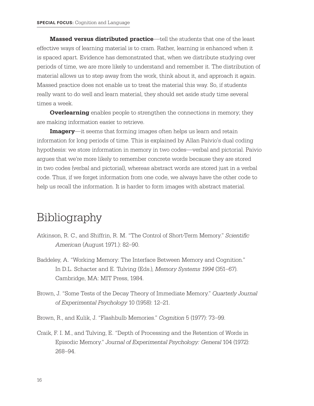**Massed versus distributed practice**—tell the students that one of the least effective ways of learning material is to cram. Rather, learning is enhanced when it is spaced apart. Evidence has demonstrated that, when we distribute studying over periods of time, we are more likely to understand and remember it. The distribution of material allows us to step away from the work, think about it, and approach it again. Massed practice does not enable us to treat the material this way. So, if students really want to do well and learn material, they should set aside study time several times a week.

**Overlearning** enables people to strengthen the connections in memory; they are making information easier to retrieve.

**Imagery**—it seems that forming images often helps us learn and retain information for long periods of time. This is explained by Allan Paivio's dual coding hypothesis: we store information in memory in two codes—verbal and pictorial. Paivio argues that we're more likely to remember concrete words because they are stored in two codes (verbal and pictorial), whereas abstract words are stored just in a verbal code. Thus, if we forget information from one code, we always have the other code to help us recall the information. It is harder to form images with abstract material.

## Bibliography

- Atkinson, R. C., and Shiffrin, R. M. "The Control of Short-Term Memory." *Scientific American* (August 1971.): 82–90.
- Baddeley, A. "Working Memory: The Interface Between Memory and Cognition." In D.L. Schacter and E. Tulving (Eds.), *Memory Systems 1994* (351–67). Cambridge, MA: MIT Press, 1984.
- Brown, J. "Some Tests of the Decay Theory of Immediate Memory." *Quarterly Journal of Experimental Psychology* 10 (1958): 12–21.
- Brown, R., and Kulik, J. "Flashbulb Memories." *Cognition* 5 (1977): 73–99.
- Craik, F. I. M., and Tulving, E. "Depth of Processing and the Retention of Words in Episodic Memory." *Journal of Experimental Psychology: General* 104 (1972): 268–94.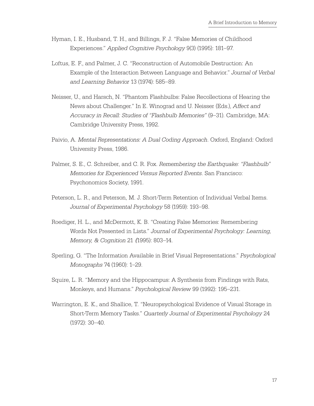- Hyman, I. E., Husband, T. H., and Billings, F. J. "False Memories of Childhood Experiences." *Applied Cognitive Psychology* 9(3) (1995): 181–97.
- Loftus, E. F., and Palmer, J. C. "Reconstruction of Automobile Destruction: An Example of the Interaction Between Language and Behavior." *Journal of Verbal and Learning Behavior* 13 (1974): 585–89.
- Neisser, U., and Harsch, N. "Phantom Flashbulbs: False Recollections of Hearing the News about Challenger." In E. Winograd and U. Neisser (Eds.), *Affect and Accuracy in Recall: Studies of "Flashbulb Memories"* (9–31). Cambridge, MA: Cambridge University Press, 1992.
- Paivio, A. *Mental Representations: A Dual Coding Approach*. Oxford, England: Oxford University Press, 1986.
- Palmer, S. E., C. Schreiber, and C. R. Fox. *Remembering the Earthquake: "Flashbulb" Memories for Experienced Versus Reported Events*. San Francisco: Psychonomics Society, 1991.
- Peterson, L. R., and Peterson, M. J. Short-Term Retention of Individual Verbal Items. *Journal of Experimental Psychology* 58 (1959): 193–98.
- Roediger, H. L., and McDermott, K. B. "Creating False Memories: Remembering Words Not Presented in Lists." *Journal of Experimental Psychology: Learning, Memory, & Cognition* 21 *(*1995): 803–14.
- Sperling, G. "The Information Available in Brief Visual Representations." *Psychological Monographs* 74 (1960): 1–29.
- Squire, L. R. "Memory and the Hippocampus: A Synthesis from Findings with Rats, Monkeys, and Humans." *Psychological Review* 99 (1992): 195–231.
- Warrington, E. K., and Shallice, T. "Neuropsychological Evidence of Visual Storage in Short-Term Memory Tasks." *Quarterly Journal of Experimental Psychology* 24 (1972): 30–40.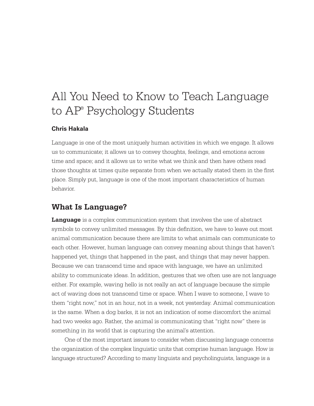# All You Need to Know to Teach Language to AP® Psychology Students

#### **Chris Hakala**

Language is one of the most uniquely human activities in which we engage. It allows us to communicate; it allows us to convey thoughts, feelings, and emotions across time and space; and it allows us to write what we think and then have others read those thoughts at times quite separate from when we actually stated them in the first place. Simply put, language is one of the most important characteristics of human behavior.

## **What Is Language?**

**Language** is a complex communication system that involves the use of abstract symbols to convey unlimited messages. By this definition, we have to leave out most animal communication because there are limits to what animals can communicate to each other. However, human language can convey meaning about things that haven't happened yet, things that happened in the past, and things that may never happen. Because we can transcend time and space with language, we have an unlimited ability to communicate ideas. In addition, gestures that we often use are not language either. For example, waving hello is not really an act of language because the simple act of waving does not transcend time or space. When I wave to someone, I wave to them "right now," not in an hour, not in a week, not yesterday. Animal communication is the same. When a dog barks, it is not an indication of some discomfort the animal had two weeks ago. Rather, the animal is communicating that "right now" there is something in its world that is capturing the animal's attention.

One of the most important issues to consider when discussing language concerns the organization of the complex linguistic units that comprise human language. How is language structured? According to many linguists and psycholinguists, language is a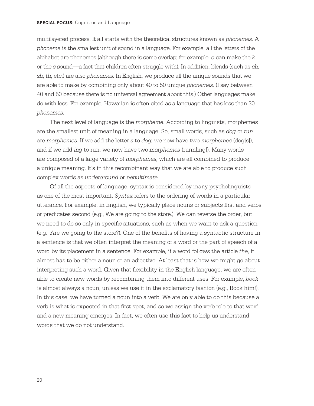multilayered process. It all starts with the theoretical structures known as *phonemes*. A *phoneme* is the smallest unit of sound in a language. For example, all the letters of the alphabet are phonemes (although there is some overlap; for example, *c* can make the *k* or the *s* sound—a fact that children often struggle with). In addition, blends (such as *ch*, *sh*, *th*, etc.) are also *phonemes*. In English, we produce all the unique sounds that we are able to make by combining only about 40 to 50 unique *phonemes*. (I say between 40 and 50 because there is no universal agreement about this.) Other languages make do with less. For example, Hawaiian is often cited as a language that has less than 30 *phonemes*.

The next level of language is the *morpheme*. According to linguists, morphemes are the smallest unit of meaning in a language. So, small words, such as *dog* or *run* are *morphemes*. If we add the letter *s* to *dog*, we now have two *morphemes* (dog[s]), and if we add *ing* to run, we now have two *morphemes* (runn[ing]). Many words are composed of a large variety of *morphemes*, which are all combined to produce a unique meaning. It's in this recombinant way that we are able to produce such complex words as *underground* or *penultimate*.

Of all the aspects of language, syntax is considered by many psycholinguists as one of the most important. *Syntax* refers to the ordering of words in a particular utterance. For example, in English, we typically place nouns or subjects first and verbs or predicates second (e.g., We are going to the store.). We can reverse the order, but we need to do so only in specific situations, such as when we want to ask a question (e.g., Are we going to the store?). One of the benefits of having a syntactic structure in a sentence is that we often interpret the meaning of a word or the part of speech of a word by its placement in a sentence. For example, if a word follows the article *the*, it almost has to be either a noun or an adjective. At least that is how we might go about interpreting such a word. Given that flexibility in the English language, we are often able to create new words by recombining them into different uses. For example, *book* is almost always a noun, unless we use it in the exclamatory fashion (e.g., Book him!). In this case, we have turned a noun into a verb. We are only able to do this because a verb is what is expected in that first spot, and so we assign the verb role to that word and a new meaning emerges. In fact, we often use this fact to help us understand words that we do not understand.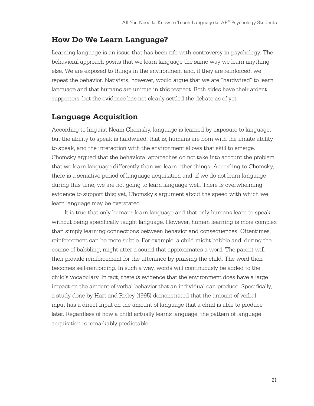## **How Do We Learn Language?**

Learning language is an issue that has been rife with controversy in psychology. The behavioral approach posits that we learn language the same way we learn anything else. We are exposed to things in the environment and, if they are reinforced, we repeat the behavior. Nativists, however, would argue that we are "hardwired" to learn language and that humans are unique in this respect. Both sides have their ardent supporters, but the evidence has not clearly settled the debate as of yet.

## **Language Acquisition**

According to linguist Noam Chomsky, language is learned by exposure to language, but the ability to speak is hardwired; that is, humans are born with the innate ability to speak, and the interaction with the environment allows that skill to emerge. Chomsky argued that the behavioral approaches do not take into account the problem that we learn language differently than we learn other things. According to Chomsky, there is a sensitive period of language acquisition and, if we do not learn language during this time, we are not going to learn language well. There is overwhelming evidence to support this; yet, Chomsky's argument about the speed with which we learn language may be overstated.

It is true that only humans learn language and that only humans learn to speak without being specifically taught language. However, human learning is more complex than simply learning connections between behavior and consequences. Oftentimes, reinforcement can be more subtle. For example, a child might babble and, during the course of babbling, might utter a sound that approximates a word. The parent will then provide reinforcement for the utterance by praising the child. The word then becomes self-reinforcing. In such a way, words will continuously be added to the child's vocabulary. In fact, there *is* evidence that the environment does have a large impact on the amount of verbal behavior that an individual can produce. Specifically, a study done by Hart and Risley (1995) demonstrated that the amount of verbal input has a direct input on the amount of language that a child is able to produce later. Regardless of how a child actually learns language, the pattern of language acquisition is remarkably predictable.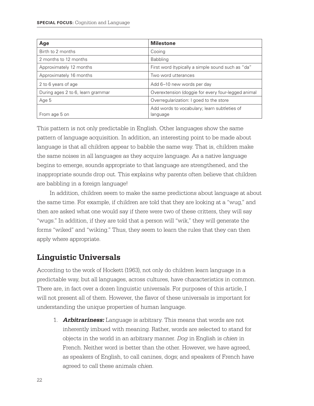| Age                               | <b>Milestone</b>                                   |
|-----------------------------------|----------------------------------------------------|
| Birth to 2 months                 | Cooing                                             |
| 2 months to 12 months             | <b>Babbling</b>                                    |
| Approximately 12 months           | First word (typically a simple sound such as "da"  |
| Approximately 16 months           | Two word utterances                                |
| 2 to 6 years of age               | Add 6-10 new words per day                         |
| During ages 2 to 6, learn grammar | Overextension (doggie for every four-legged animal |
| Age 5                             | Overregularization: I goed to the store            |
|                                   | Add words to vocabulary; learn subtleties of       |
| From age 5 on                     | language                                           |

This pattern is not only predictable in English. Other languages show the same pattern of language acquisition. In addition, an interesting point to be made about language is that all children appear to babble the same way. That is, children make the same noises in all languages as they acquire language. As a native language begins to emerge, sounds appropriate to that language are strengthened, and the inappropriate sounds drop out. This explains why parents often believe that children are babbling in a foreign language!

In addition, children seem to make the same predictions about language at about the same time. For example, if children are told that they are looking at a "wug," and then are asked what one would say if there were two of these critters, they will say "wugs." In addition, if they are told that a person will "wik," they will generate the forms "wiked" and "wiking." Thus, they seem to learn the rules that they can then apply where appropriate.

## **Linguistic Universals**

According to the work of Hockett (1963), not only do children learn language in a predictable way, but all languages, across cultures, have characteristics in common. There are, in fact over a dozen linguistic universals. For purposes of this article, I will not present all of them. However, the flavor of these universals is important for understanding the unique properties of human language.

1. **Arbitrariness:** Language is arbitrary. This means that words are not inherently imbued with meaning. Rather, words are selected to stand for objects in the world in an arbitrary manner. *Dog* in English is *chien* in French. Neither word is better than the other. However, we have agreed, as speakers of English, to call canines, dogs; and speakers of French have agreed to call these animals *chien*.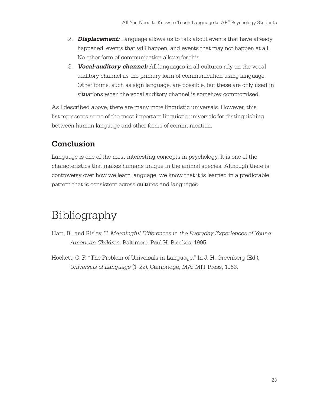- 2. **Displacement:** Language allows us to talk about events that have already happened, events that will happen, and events that may not happen at all. No other form of communication allows for this.
- 3. **Vocal-auditory channel:** All languages in all cultures rely on the vocal auditory channel as the primary form of communication using language. Other forms, such as sign language, are possible, but these are only used in situations when the vocal auditory channel is somehow compromised.

As I described above, there are many more linguistic universals. However, this list represents some of the most important linguistic universals for distinguishing between human language and other forms of communication.

## **Conclusion**

Language is one of the most interesting concepts in psychology. It is one of the characteristics that makes humans unique in the animal species. Although there is controversy over how we learn language, we know that it is learned in a predictable pattern that is consistent across cultures and languages.

# Bibliography

- Hart, B., and Risley, T. *Meaningful Differences in the Everyday Experiences of Young American Children*. Baltimore: Paul H. Brookes, 1995.
- Hockett, C. F. "The Problem of Universals in Language." In J. H. Greenberg (Ed.), *Universals of Language* (1–22). Cambridge, MA: MIT Press, 1963.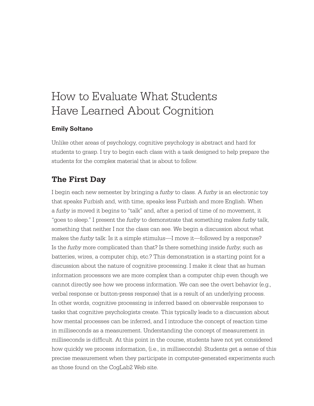# How to Evaluate What Students Have Learned About Cognition

#### **Emily Soltano**

Unlike other areas of psychology, cognitive psychology is abstract and hard for students to grasp. I try to begin each class with a task designed to help prepare the students for the complex material that is about to follow.

### **The First Day**

I begin each new semester by bringing a *furby* to class. A *furby* is an electronic toy that speaks Furbish and, with time, speaks less Furbish and more English. When a *furby* is moved it begins to "talk" and, after a period of time of no movement, it "goes to sleep." I present the *furby* to demonstrate that something makes *furby* talk, something that neither I nor the class can see. We begin a discussion about what makes the *furby* talk: Is it a simple stimulus—I move it—followed by a response? Is the *furby* more complicated than that? Is there something inside *furby*, such as batteries, wires, a computer chip, etc.? This demonstration is a starting point for a discussion about the nature of cognitive processing. I make it clear that as human information processors we are more complex than a computer chip even though we cannot directly see how we process information. We can see the overt behavior (e.g., verbal response or button-press response) that is a result of an underlying process. In other words, cognitive processing is inferred based on observable responses to tasks that cognitive psychologists create. This typically leads to a discussion about how mental processes can be inferred, and I introduce the concept of reaction time in milliseconds as a measurement. Understanding the concept of measurement in milliseconds is difficult. At this point in the course, students have not yet considered how quickly we process information, (i.e., in milliseconds). Students get a sense of this precise measurement when they participate in computer-generated experiments such as those found on the CogLab2 Web site.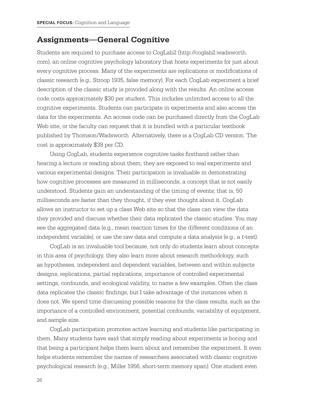### **Assignments—General Cognitive**

Students are required to purchase access to CogLab2 (http://coglab2.wadsworth. com), an online cognitive psychology laboratory that hosts experiments for just about every cognitive process. Many of the experiments are replications or modifications of classic research (e.g., Stroop 1935, false memory). For each CogLab experiment a brief description of the classic study is provided along with the results. An online access code costs approximately \$30 per student. This includes unlimited access to all the cognitive experiments. Students can participate in experiments and also access the data for the experiments. An access code can be purchased directly from the CogLab Web site, or the faculty can request that it is bundled with a particular textbook published by Thomson/Wadsworth. Alternatively, there is a CogLab CD version. The cost is approximately \$38 per CD.

Using CogLab, students experience cognitive tasks firsthand rather than hearing a lecture or reading about them; they are exposed to real experiments and various experimental designs. Their participation is invaluable in demonstrating how cognitive processes are measured in milliseconds, a concept that is not easily understood. Students gain an understanding of the timing of events; that is, 50 milliseconds are faster than they thought, if they ever thought about it. CogLab allows an instructor to set up a class Web site so that the class can view the data they provided and discuss whether their data replicated the classic studies. You may see the aggregated data (e.g., mean reaction times for the different conditions of an independent variable), or use the raw data and compute a data analysis (e.g., a *t*-test).

CogLab is an invaluable tool because, not only do students learn about concepts in this area of psychology, they also learn more about research methodology, such as hypotheses, independent and dependent variables, between and within subjects designs, replications, partial replications, importance of controlled experimental settings, confounds, and ecological validity, to name a few examples. Often the class data replicates the classic findings, but I take advantage of the instances when it does not. We spend time discussing possible reasons for the class results, such as the importance of a controlled environment, potential confounds, variability of equipment, and sample size.

CogLab participation promotes active learning and students like participating in them. Many students have said that simply reading about experiments is boring and that being a participant helps them learn about and remember the experiment. It even helps students remember the names of researchers associated with classic cognitive psychological research (e.g., Miller 1956, short-term memory span). One student even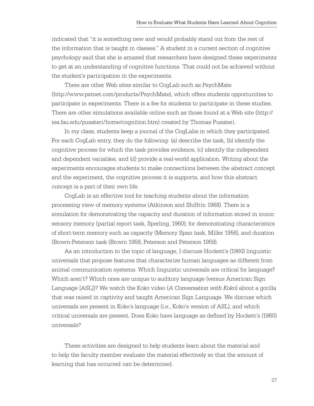indicated that "it is something new and would probably stand out from the rest of the information that is taught in classes." A student in a current section of cognitive psychology said that she is amazed that researchers have designed these experiments to get at an understanding of cognitive functions. That could not be achieved without the student's participation in the experiments.

There are other Web sites similar to CogLab such as PsychMate (http://www.pstnet.com/products/PsychMate), which offers students opportunities to participate in experiments. There is a fee for students to participate in these studies. There are other simulations available online such as those found at a Web site (http:// iea.fau.edu/pusateri/home/cognition.htm) created by Thomas Pusateri.

In my class, students keep a journal of the CogLabs in which they participated. For each CogLab entry, they do the following: (a) describe the task, (b) identify the cognitive process for which the task provides evidence, (c) identify the independent and dependent variables, and (d) provide a real-world application. Writing about the experiments encourages students to make connections between the abstract concept and the experiment, the cognitive process it is supports, and how this abstract concept is a part of their own life.

CogLab is an effective tool for teaching students about the information processing view of memory systems (Atkinson and Shiffrin 1968). There is a simulation for demonstrating the capacity and duration of information stored in iconic sensory memory (partial report task, Sperling, 1960); for demonstrating characteristics of short-term memory such as capacity (Memory Span task, Miller 1956), and duration (Brown-Peterson task (Brown 1958; Peterson and Peterson 1959).

As an introduction to the topic of language, I discuss Hockett's (1960) linguistic universals that propose features that characterize human languages as different from animal communication systems. Which linguistic universals are critical for language? Which aren't? Which ones are unique to auditory language (versus American Sign Language [ASL])? We watch the Koko video (*A Conversation with Koko*) about a gorilla that was raised in captivity and taught American Sign Language. We discuss which universals are present in Koko's language (i.e., Koko's version of ASL), and which critical universals are present. Does Koko have language as defined by Hockett's (1960) universals?

These activities are designed to help students learn about the material and to help the faculty member evaluate the material effectively so that the amount of learning that has occurred can be determined.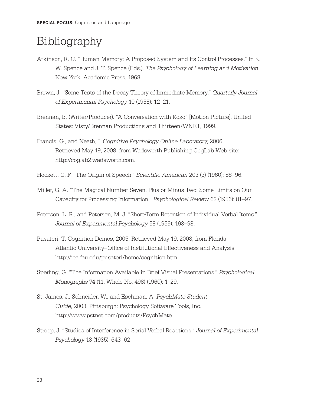# Bibliography

- Atkinson, R. C. "Human Memory: A Proposed System and Its Control Processes." In K. W. Spence and J. T. Spence (Eds.), *The Psychology of Learning and Motivation*. New York: Academic Press, 1968.
- Brown, J. "Some Tests of the Decay Theory of Immediate Memory." *Quarterly Journal of Experimental Psychology* 10 (1958): 12–21.
- Brennan, B. (Writer/Producer). "A Conversation with Koko" [Motion Picture]. United States: Visty/Brennan Productions and Thirteen/WNET, 1999.
- Francis, G., and Neath, I. *Cognitive Psychology Online Laboratory*, 2006. Retrieved May 19, 2008, from Wadsworth Publishing CogLab Web site: http://coglab2.wadsworth.com.
- Hockett, C. F. "The Origin of Speech." *Scientific American* 203 (3) (1960): 88–96.
- Miller, G. A. "The Magical Number Seven, Plus or Minus Two: Some Limits on Our Capacity for Processing Information." *Psychological Review* 63 (1956): 81–97.
- Peterson, L. R., and Peterson, M. J. "Short-Term Retention of Individual Verbal Items." *Journal of Experimental Psychology* 58 (1959): 193–98.
- Pusateri, T. Cognition Demos, 2005. Retrieved May 19, 2008, from Florida Atlantic University–Office of Institutional Effectiveness and Analysis: http://iea.fau.edu/pusateri/home/cognition.htm.
- Sperling, G. "The Information Available in Brief Visual Presentations." *Psychological Monographs* 74 (11, Whole No. 498) (1960): 1–29.
- St. James, J., Schneider, W., and Eschman, A*. PsychMate Student Guide*, 2003. Pittsburgh: Psychology Software Tools, Inc. http://www.pstnet.com/products/PsychMate.
- Stroop, J. "Studies of Interference in Serial Verbal Reactions." *Journal of Experimental Psychology* 18 (1935): 643–62.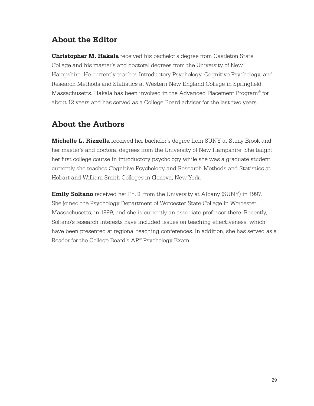## **About the Editor**

**Christopher M. Hakala** received his bachelor's degree from Castleton State College and his master's and doctoral degrees from the University of New Hampshire. He currently teaches Introductory Psychology, Cognitive Psychology, and Research Methods and Statistics at Western New England College in Springfield, Massachusetts. Hakala has been involved in the Advanced Placement Program® for about 12 years and has served as a College Board adviser for the last two years.

## **About the Authors**

**Michelle L. Rizzella** received her bachelor's degree from SUNY at Stony Brook and her master's and doctoral degrees from the University of New Hampshire. She taught her first college course in introductory psychology while she was a graduate student; currently she teaches Cognitive Psychology and Research Methods and Statistics at Hobart and William Smith Colleges in Geneva, New York.

**Emily Soltano** received her Ph.D. from the University at Albany (SUNY) in 1997. She joined the Psychology Department of Worcester State College in Worcester, Massachusetts, in 1999, and she is currently an associate professor there. Recently, Soltano's research interests have included issues on teaching effectiveness, which have been presented at regional teaching conferences. In addition, she has served as a Reader for the College Board's AP® Psychology Exam.